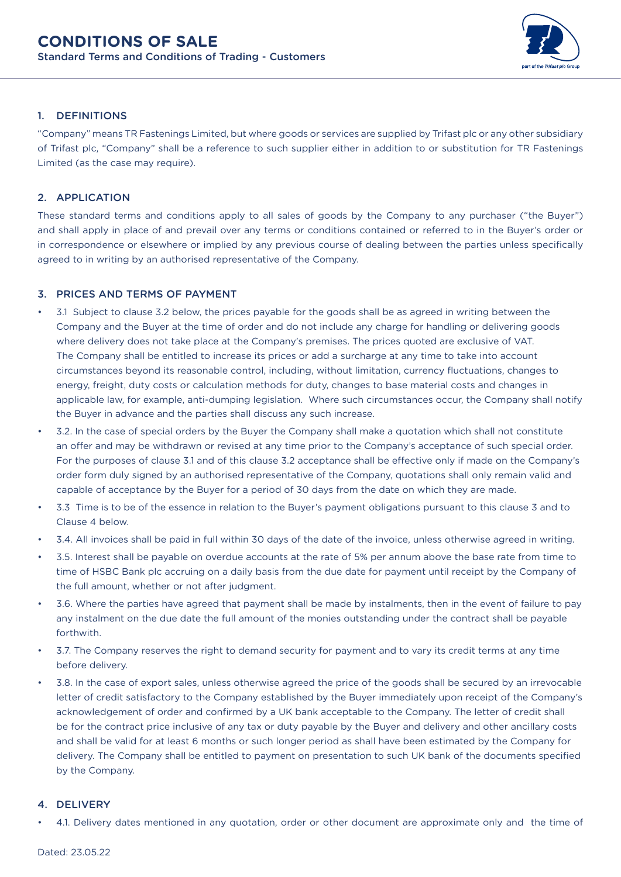

# 1. DEFINITIONS

"Company" means TR Fastenings Limited, but where goods or services are supplied by Trifast plc or any other subsidiary of Trifast plc, "Company" shall be a reference to such supplier either in addition to or substitution for TR Fastenings Limited (as the case may require).

# 2. APPLICATION

These standard terms and conditions apply to all sales of goods by the Company to any purchaser ("the Buyer") and shall apply in place of and prevail over any terms or conditions contained or referred to in the Buyer's order or in correspondence or elsewhere or implied by any previous course of dealing between the parties unless specifically agreed to in writing by an authorised representative of the Company.

# 3. PRICES AND TERMS OF PAYMENT

- 3.1 Subject to clause 3.2 below, the prices payable for the goods shall be as agreed in writing between the Company and the Buyer at the time of order and do not include any charge for handling or delivering goods where delivery does not take place at the Company's premises. The prices quoted are exclusive of VAT. The Company shall be entitled to increase its prices or add a surcharge at any time to take into account circumstances beyond its reasonable control, including, without limitation, currency fluctuations, changes to energy, freight, duty costs or calculation methods for duty, changes to base material costs and changes in applicable law, for example, anti-dumping legislation. Where such circumstances occur, the Company shall notify the Buyer in advance and the parties shall discuss any such increase.
- 3.2. In the case of special orders by the Buyer the Company shall make a quotation which shall not constitute an offer and may be withdrawn or revised at any time prior to the Company's acceptance of such special order. For the purposes of clause 3.1 and of this clause 3.2 acceptance shall be effective only if made on the Company's order form duly signed by an authorised representative of the Company, quotations shall only remain valid and capable of acceptance by the Buyer for a period of 30 days from the date on which they are made.
- 3.3 Time is to be of the essence in relation to the Buyer's payment obligations pursuant to this clause 3 and to Clause 4 below.
- 3.4. All invoices shall be paid in full within 30 days of the date of the invoice, unless otherwise agreed in writing.
- 3.5. Interest shall be payable on overdue accounts at the rate of 5% per annum above the base rate from time to time of HSBC Bank plc accruing on a daily basis from the due date for payment until receipt by the Company of the full amount, whether or not after judgment.
- 3.6. Where the parties have agreed that payment shall be made by instalments, then in the event of failure to pay any instalment on the due date the full amount of the monies outstanding under the contract shall be payable forthwith.
- 3.7. The Company reserves the right to demand security for payment and to vary its credit terms at any time before delivery.
- 3.8. In the case of export sales, unless otherwise agreed the price of the goods shall be secured by an irrevocable letter of credit satisfactory to the Company established by the Buyer immediately upon receipt of the Company's acknowledgement of order and confirmed by a UK bank acceptable to the Company. The letter of credit shall be for the contract price inclusive of any tax or duty payable by the Buyer and delivery and other ancillary costs and shall be valid for at least 6 months or such longer period as shall have been estimated by the Company for delivery. The Company shall be entitled to payment on presentation to such UK bank of the documents specified by the Company.

## 4. DELIVERY

• 4.1. Delivery dates mentioned in any quotation, order or other document are approximate only and the time of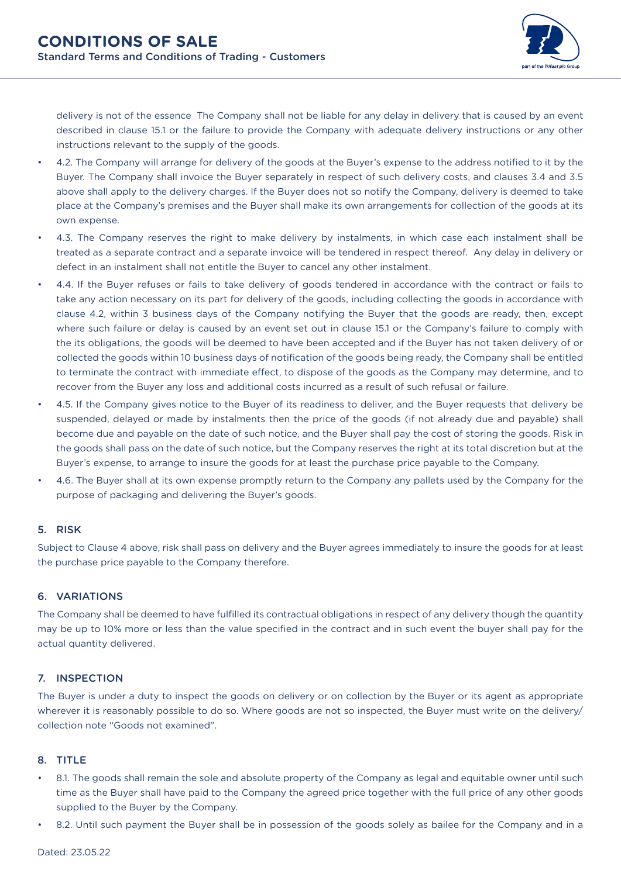

delivery is not of the essence The Company shall not be liable for any delay in delivery that is caused by an event described in clause 15.1 or the failure to provide the Company with adequate delivery instructions or any other instructions relevant to the supply of the goods.

- 4.2. The Company will arrange for delivery of the goods at the Buyer's expense to the address notified to it by the Buyer. The Company shall invoice the Buyer separately in respect of such delivery costs, and clauses 3.4 and 3.5 above shall apply to the delivery charges. If the Buyer does not so notify the Company, delivery is deemed to take place at the Company's premises and the Buyer shall make its own arrangements for collection of the goods at its own expense.
- 4.3. The Company reserves the right to make delivery by instalments, in which case each instalment shall be treated as a separate contract and a separate invoice will be tendered in respect thereof. Any delay in delivery or defect in an instalment shall not entitle the Buyer to cancel any other instalment.
- 4.4. If the Buyer refuses or fails to take delivery of goods tendered in accordance with the contract or fails to take any action necessary on its part for delivery of the goods, including collecting the goods in accordance with clause 4.2, within 3 business days of the Company notifying the Buyer that the goods are ready, then, except where such failure or delay is caused by an event set out in clause 15.1 or the Company's failure to comply with the its obligations, the goods will be deemed to have been accepted and if the Buyer has not taken delivery of or collected the goods within 10 business days of notification of the goods being ready, the Company shall be entitled to terminate the contract with immediate effect, to dispose of the goods as the Company may determine, and to recover from the Buyer any loss and additional costs incurred as a result of such refusal or failure.
- 4.5. If the Company gives notice to the Buyer of its readiness to deliver, and the Buyer requests that delivery be suspended, delayed or made by instalments then the price of the goods (if not already due and payable) shall become due and payable on the date of such notice, and the Buyer shall pay the cost of storing the goods. Risk in the goods shall pass on the date of such notice, but the Company reserves the right at its total discretion but at the Buyer's expense, to arrange to insure the goods for at least the purchase price payable to the Company.
- 4.6. The Buyer shall at its own expense promptly return to the Company any pallets used by the Company for the purpose of packaging and delivering the Buyer's goods.

## 5. RISK

Subject to Clause 4 above, risk shall pass on delivery and the Buyer agrees immediately to insure the goods for at least the purchase price payable to the Company therefore.

## 6. VARIATIONS

The Company shall be deemed to have fulfilled its contractual obligations in respect of any delivery though the quantity may be up to 10% more or less than the value specified in the contract and in such event the buyer shall pay for the actual quantity delivered.

## 7. INSPECTION

The Buyer is under a duty to inspect the goods on delivery or on collection by the Buyer or its agent as appropriate wherever it is reasonably possible to do so. Where goods are not so inspected, the Buyer must write on the delivery/ collection note "Goods not examined".

#### 8. TITLE

- 8.1. The goods shall remain the sole and absolute property of the Company as legal and equitable owner until such time as the Buyer shall have paid to the Company the agreed price together with the full price of any other goods supplied to the Buyer by the Company.
- 8.2. Until such payment the Buyer shall be in possession of the goods solely as bailee for the Company and in a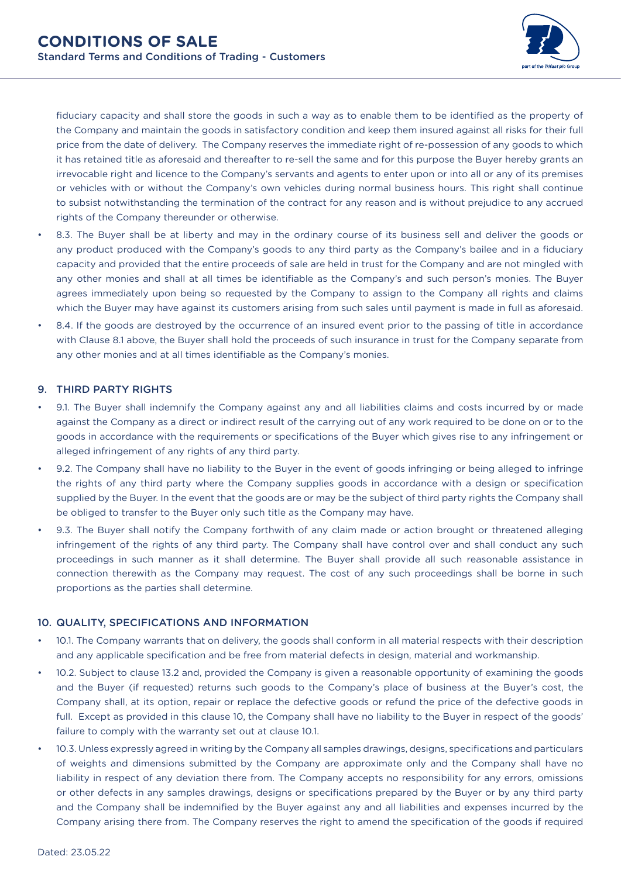

fiduciary capacity and shall store the goods in such a way as to enable them to be identified as the property of the Company and maintain the goods in satisfactory condition and keep them insured against all risks for their full price from the date of delivery. The Company reserves the immediate right of re-possession of any goods to which it has retained title as aforesaid and thereafter to re-sell the same and for this purpose the Buyer hereby grants an irrevocable right and licence to the Company's servants and agents to enter upon or into all or any of its premises or vehicles with or without the Company's own vehicles during normal business hours. This right shall continue to subsist notwithstanding the termination of the contract for any reason and is without prejudice to any accrued rights of the Company thereunder or otherwise.

- 8.3. The Buyer shall be at liberty and may in the ordinary course of its business sell and deliver the goods or any product produced with the Company's goods to any third party as the Company's bailee and in a fiduciary capacity and provided that the entire proceeds of sale are held in trust for the Company and are not mingled with any other monies and shall at all times be identifiable as the Company's and such person's monies. The Buyer agrees immediately upon being so requested by the Company to assign to the Company all rights and claims which the Buyer may have against its customers arising from such sales until payment is made in full as aforesaid.
- 8.4. If the goods are destroyed by the occurrence of an insured event prior to the passing of title in accordance with Clause 8.1 above, the Buyer shall hold the proceeds of such insurance in trust for the Company separate from any other monies and at all times identifiable as the Company's monies.

## 9. THIRD PARTY RIGHTS

- 9.1. The Buyer shall indemnify the Company against any and all liabilities claims and costs incurred by or made against the Company as a direct or indirect result of the carrying out of any work required to be done on or to the goods in accordance with the requirements or specifications of the Buyer which gives rise to any infringement or alleged infringement of any rights of any third party.
- 9.2. The Company shall have no liability to the Buyer in the event of goods infringing or being alleged to infringe the rights of any third party where the Company supplies goods in accordance with a design or specification supplied by the Buyer. In the event that the goods are or may be the subject of third party rights the Company shall be obliged to transfer to the Buyer only such title as the Company may have.
- 9.3. The Buyer shall notify the Company forthwith of any claim made or action brought or threatened alleging infringement of the rights of any third party. The Company shall have control over and shall conduct any such proceedings in such manner as it shall determine. The Buyer shall provide all such reasonable assistance in connection therewith as the Company may request. The cost of any such proceedings shall be borne in such proportions as the parties shall determine.

## 10. QUALITY, SPECIFICATIONS AND INFORMATION

- 10.1. The Company warrants that on delivery, the goods shall conform in all material respects with their description and any applicable specification and be free from material defects in design, material and workmanship.
- 10.2. Subject to clause 13.2 and, provided the Company is given a reasonable opportunity of examining the goods and the Buyer (if requested) returns such goods to the Company's place of business at the Buyer's cost, the Company shall, at its option, repair or replace the defective goods or refund the price of the defective goods in full. Except as provided in this clause 10, the Company shall have no liability to the Buyer in respect of the goods' failure to comply with the warranty set out at clause 10.1.
- 10.3. Unless expressly agreed in writing by the Company all samples drawings, designs, specifications and particulars of weights and dimensions submitted by the Company are approximate only and the Company shall have no liability in respect of any deviation there from. The Company accepts no responsibility for any errors, omissions or other defects in any samples drawings, designs or specifications prepared by the Buyer or by any third party and the Company shall be indemnified by the Buyer against any and all liabilities and expenses incurred by the Company arising there from. The Company reserves the right to amend the specification of the goods if required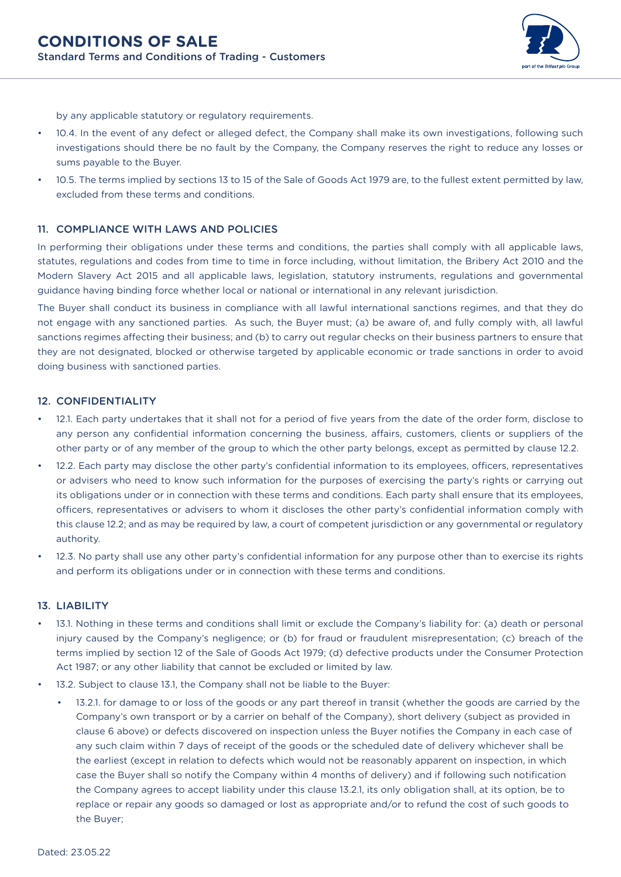

by any applicable statutory or regulatory requirements.

- 10.4. In the event of any defect or alleged defect, the Company shall make its own investigations, following such investigations should there be no fault by the Company, the Company reserves the right to reduce any losses or sums payable to the Buyer.
- 10.5. The terms implied by sections 13 to 15 of the Sale of Goods Act 1979 are, to the fullest extent permitted by law, excluded from these terms and conditions.

#### 11. COMPLIANCE WITH LAWS AND POLICIES

In performing their obligations under these terms and conditions, the parties shall comply with all applicable laws, statutes, regulations and codes from time to time in force including, without limitation, the Bribery Act 2010 and the Modern Slavery Act 2015 and all applicable laws, legislation, statutory instruments, regulations and governmental guidance having binding force whether local or national or international in any relevant jurisdiction.

The Buyer shall conduct its business in compliance with all lawful international sanctions regimes, and that they do not engage with any sanctioned parties. As such, the Buyer must; (a) be aware of, and fully comply with, all lawful sanctions regimes affecting their business; and (b) to carry out regular checks on their business partners to ensure that they are not designated, blocked or otherwise targeted by applicable economic or trade sanctions in order to avoid doing business with sanctioned parties.

#### 12. CONFIDENTIALITY

- 12.1. Each party undertakes that it shall not for a period of five years from the date of the order form, disclose to any person any confidential information concerning the business, affairs, customers, clients or suppliers of the other party or of any member of the group to which the other party belongs, except as permitted by clause 12.2.
- 12.2. Each party may disclose the other party's confidential information to its employees, officers, representatives or advisers who need to know such information for the purposes of exercising the party's rights or carrying out its obligations under or in connection with these terms and conditions. Each party shall ensure that its employees, officers, representatives or advisers to whom it discloses the other party's confidential information comply with this clause 12.2; and as may be required by law, a court of competent jurisdiction or any governmental or regulatory authority.
- 12.3. No party shall use any other party's confidential information for any purpose other than to exercise its rights and perform its obligations under or in connection with these terms and conditions.

#### 13. LIABILITY

- 13.1. Nothing in these terms and conditions shall limit or exclude the Company's liability for: (a) death or personal injury caused by the Company's negligence; or (b) for fraud or fraudulent misrepresentation; (c) breach of the terms implied by section 12 of the Sale of Goods Act 1979; (d) defective products under the Consumer Protection Act 1987; or any other liability that cannot be excluded or limited by law.
- 13.2. Subject to clause 13.1, the Company shall not be liable to the Buyer:
	- 13.2.1. for damage to or loss of the goods or any part thereof in transit (whether the goods are carried by the Company's own transport or by a carrier on behalf of the Company), short delivery (subject as provided in clause 6 above) or defects discovered on inspection unless the Buyer notifies the Company in each case of any such claim within 7 days of receipt of the goods or the scheduled date of delivery whichever shall be the earliest (except in relation to defects which would not be reasonably apparent on inspection, in which case the Buyer shall so notify the Company within 4 months of delivery) and if following such notification the Company agrees to accept liability under this clause 13.2.1, its only obligation shall, at its option, be to replace or repair any goods so damaged or lost as appropriate and/or to refund the cost of such goods to the Buyer;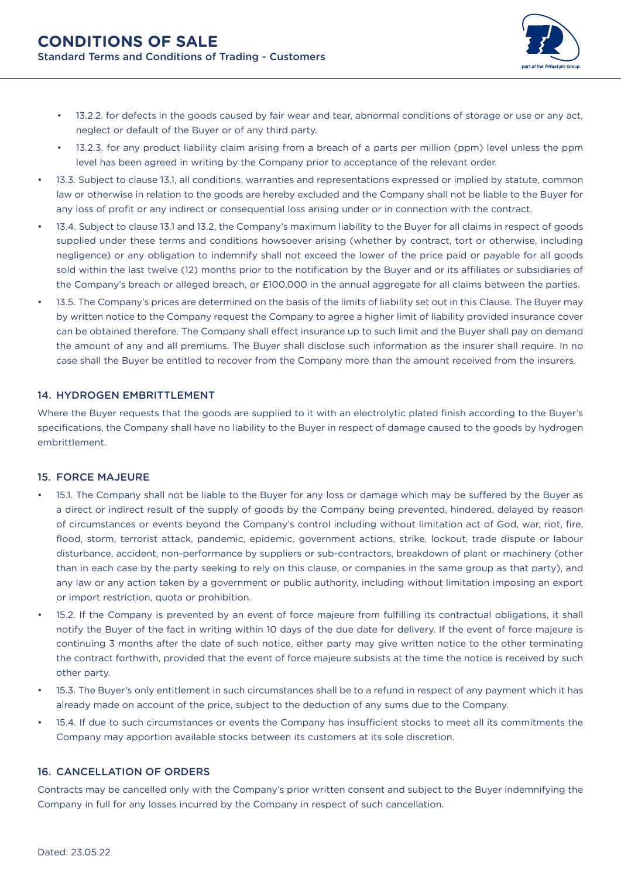

- 13.2.2. for defects in the goods caused by fair wear and tear, abnormal conditions of storage or use or any act, neglect or default of the Buyer or of any third party.
- 13.2.3. for any product liability claim arising from a breach of a parts per million (ppm) level unless the ppm level has been agreed in writing by the Company prior to acceptance of the relevant order.
- 13.3. Subject to clause 13.1, all conditions, warranties and representations expressed or implied by statute, common law or otherwise in relation to the goods are hereby excluded and the Company shall not be liable to the Buyer for any loss of profit or any indirect or consequential loss arising under or in connection with the contract.
- 13.4. Subject to clause 13.1 and 13.2, the Company's maximum liability to the Buyer for all claims in respect of goods supplied under these terms and conditions howsoever arising (whether by contract, tort or otherwise, including negligence) or any obligation to indemnify shall not exceed the lower of the price paid or payable for all goods sold within the last twelve (12) months prior to the notification by the Buyer and or its affiliates or subsidiaries of the Company's breach or alleged breach, or £100,000 in the annual aggregate for all claims between the parties.
- 13.5. The Company's prices are determined on the basis of the limits of liability set out in this Clause. The Buyer may by written notice to the Company request the Company to agree a higher limit of liability provided insurance cover can be obtained therefore. The Company shall effect insurance up to such limit and the Buyer shall pay on demand the amount of any and all premiums. The Buyer shall disclose such information as the insurer shall require. In no case shall the Buyer be entitled to recover from the Company more than the amount received from the insurers.

## 14. HYDROGEN EMBRITTI EMENT

Where the Buyer requests that the goods are supplied to it with an electrolytic plated finish according to the Buyer's specifications, the Company shall have no liability to the Buyer in respect of damage caused to the goods by hydrogen embrittlement.

## 15. FORCE MAJEURE

- 15.1. The Company shall not be liable to the Buyer for any loss or damage which may be suffered by the Buyer as a direct or indirect result of the supply of goods by the Company being prevented, hindered, delayed by reason of circumstances or events beyond the Company's control including without limitation act of God, war, riot, fire, flood, storm, terrorist attack, pandemic, epidemic, government actions, strike, lockout, trade dispute or labour disturbance, accident, non-performance by suppliers or sub-contractors, breakdown of plant or machinery (other than in each case by the party seeking to rely on this clause, or companies in the same group as that party), and any law or any action taken by a government or public authority, including without limitation imposing an export or import restriction, quota or prohibition.
- 15.2. If the Company is prevented by an event of force majeure from fulfilling its contractual obligations, it shall notify the Buyer of the fact in writing within 10 days of the due date for delivery. If the event of force majeure is continuing 3 months after the date of such notice, either party may give written notice to the other terminating the contract forthwith, provided that the event of force majeure subsists at the time the notice is received by such other party.
- 15.3. The Buyer's only entitlement in such circumstances shall be to a refund in respect of any payment which it has already made on account of the price, subject to the deduction of any sums due to the Company.
- 15.4. If due to such circumstances or events the Company has insufficient stocks to meet all its commitments the Company may apportion available stocks between its customers at its sole discretion.

#### 16. CANCELLATION OF ORDERS

Contracts may be cancelled only with the Company's prior written consent and subject to the Buyer indemnifying the Company in full for any losses incurred by the Company in respect of such cancellation.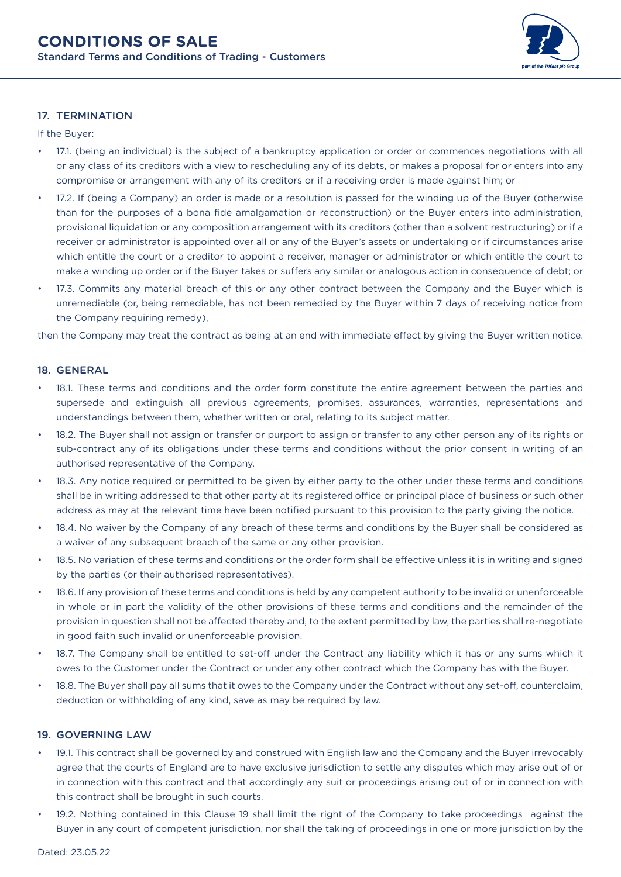

# 17. TERMINATION

If the Buyer:

- 17.1. (being an individual) is the subject of a bankruptcy application or order or commences negotiations with all or any class of its creditors with a view to rescheduling any of its debts, or makes a proposal for or enters into any compromise or arrangement with any of its creditors or if a receiving order is made against him; or
- 17.2. If (being a Company) an order is made or a resolution is passed for the winding up of the Buyer (otherwise than for the purposes of a bona fide amalgamation or reconstruction) or the Buyer enters into administration, provisional liquidation or any composition arrangement with its creditors (other than a solvent restructuring) or if a receiver or administrator is appointed over all or any of the Buyer's assets or undertaking or if circumstances arise which entitle the court or a creditor to appoint a receiver, manager or administrator or which entitle the court to make a winding up order or if the Buyer takes or suffers any similar or analogous action in consequence of debt; or
- 17.3. Commits any material breach of this or any other contract between the Company and the Buyer which is unremediable (or, being remediable, has not been remedied by the Buyer within 7 days of receiving notice from the Company requiring remedy),

then the Company may treat the contract as being at an end with immediate effect by giving the Buyer written notice.

### 18. GENERAL

- 18.1. These terms and conditions and the order form constitute the entire agreement between the parties and supersede and extinguish all previous agreements, promises, assurances, warranties, representations and understandings between them, whether written or oral, relating to its subject matter.
- 18.2. The Buyer shall not assign or transfer or purport to assign or transfer to any other person any of its rights or sub-contract any of its obligations under these terms and conditions without the prior consent in writing of an authorised representative of the Company.
- 18.3. Any notice required or permitted to be given by either party to the other under these terms and conditions shall be in writing addressed to that other party at its registered office or principal place of business or such other address as may at the relevant time have been notified pursuant to this provision to the party giving the notice.
- 18.4. No waiver by the Company of any breach of these terms and conditions by the Buyer shall be considered as a waiver of any subsequent breach of the same or any other provision.
- 18.5. No variation of these terms and conditions or the order form shall be effective unless it is in writing and signed by the parties (or their authorised representatives).
- 18.6. If any provision of these terms and conditions is held by any competent authority to be invalid or unenforceable in whole or in part the validity of the other provisions of these terms and conditions and the remainder of the provision in question shall not be affected thereby and, to the extent permitted by law, the parties shall re-negotiate in good faith such invalid or unenforceable provision.
- 18.7. The Company shall be entitled to set-off under the Contract any liability which it has or any sums which it owes to the Customer under the Contract or under any other contract which the Company has with the Buyer.
- 18.8. The Buyer shall pay all sums that it owes to the Company under the Contract without any set-off, counterclaim, deduction or withholding of any kind, save as may be required by law.

### 19. GOVERNING LAW

- 19.1. This contract shall be governed by and construed with English law and the Company and the Buyer irrevocably agree that the courts of England are to have exclusive jurisdiction to settle any disputes which may arise out of or in connection with this contract and that accordingly any suit or proceedings arising out of or in connection with this contract shall be brought in such courts.
- 19.2. Nothing contained in this Clause 19 shall limit the right of the Company to take proceedings against the Buyer in any court of competent jurisdiction, nor shall the taking of proceedings in one or more jurisdiction by the